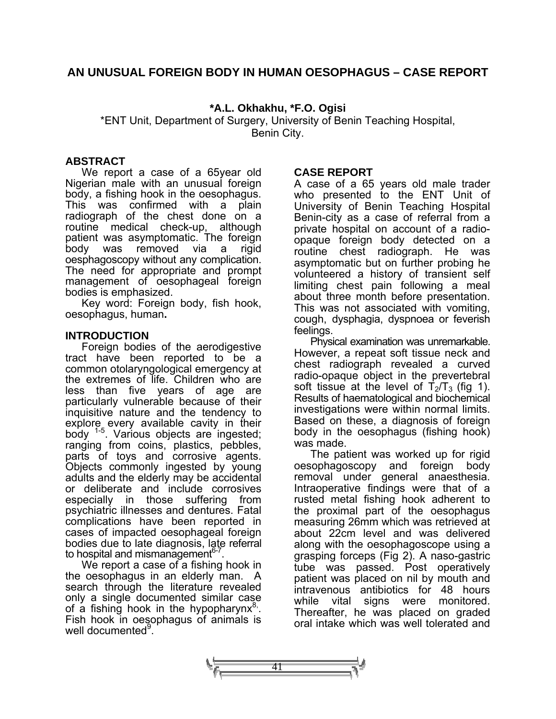## **AN UNUSUAL FOREIGN BODY IN HUMAN OESOPHAGUS – CASE REPORT**

### **\*A.L. Okhakhu, \*F.O. Ogisi**

\*ENT Unit, Department of Surgery, University of Benin Teaching Hospital, Benin City.

### **ABSTRACT**

We report a case of a 65year old Nigerian male with an unusual foreign body, a fishing hook in the oesophagus. This was confirmed with a plain radiograph of the chest done on a routine medical check-up, although patient was asymptomatic. The foreign body was removed via a rigid oesphagoscopy without any complication. The need for appropriate and prompt management of oesophageal foreign bodies is emphasized.

Key word: Foreign body, fish hook, oesophagus, human**.** 

#### **INTRODUCTION**

Foreign bodies of the aerodigestive tract have been reported to be a common otolaryngological emergency at the extremes of life. Children who are less than five years of age are particularly vulnerable because of their inquisitive nature and the tendency to explore every available cavity in their body <sup>1-5</sup>. Various objects are ingested; ranging from coins, plastics, pebbles, parts of toys and corrosive agents. Objects commonly ingested by young adults and the elderly may be accidental or deliberate and include corrosives especially in those suffering from psychiatric illnesses and dentures. Fatal complications have been reported in cases of impacted oesophageal foreign bodies due to late diagnosis, late referral to hospital and mismanagement $6-7$ 

We report a case of a fishing hook in the oesophagus in an elderly man. A search through the literature revealed only a single documented similar case of a fishing hook in the hypopharynx<sup>8</sup>. Fish hook in oesophagus of animals is well documented<sup>9</sup>.

### **CASE REPORT**

A case of a 65 years old male trader who presented to the ENT Unit of University of Benin Teaching Hospital Benin-city as a case of referral from a private hospital on account of a radioopaque foreign body detected on a routine chest radiograph. He was asymptomatic but on further probing he volunteered a history of transient self limiting chest pain following a meal about three month before presentation. This was not associated with vomiting, cough, dysphagia, dyspnoea or feverish feelings.

Physical examination was unremarkable. However, a repeat soft tissue neck and chest radiograph revealed a curved radio-opaque object in the prevertebral soft tissue at the level of  $T_2/T_3$  (fig 1). Results of haematological and biochemical investigations were within normal limits. Based on these, a diagnosis of foreign body in the oesophagus (fishing hook) was made.

The patient was worked up for rigid oesophagoscopy and foreign body removal under general anaesthesia. Intraoperative findings were that of a rusted metal fishing hook adherent to the proximal part of the oesophagus measuring 26mm which was retrieved at about 22cm level and was delivered along with the oesophagoscope using a grasping forceps (Fig 2). A naso-gastric tube was passed. Post operatively patient was placed on nil by mouth and intravenous antibiotics for 48 hours while vital signs were monitored. Thereafter, he was placed on graded oral intake which was well tolerated and

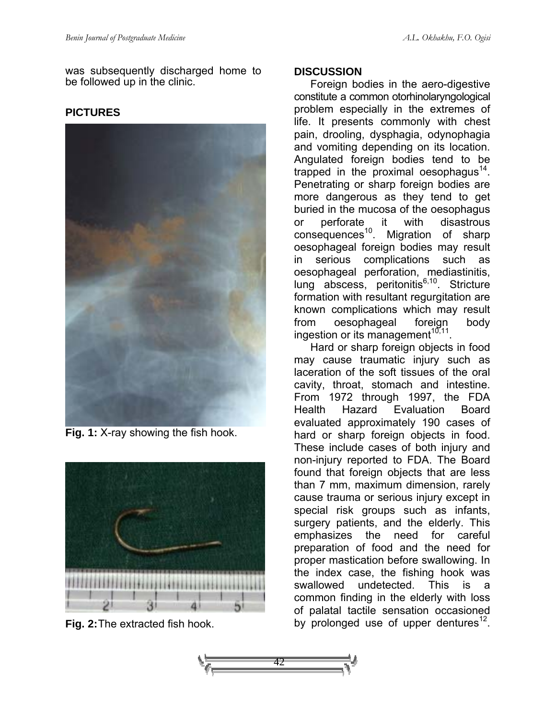**PICTURES** 

was subsequently discharged home to be followed up in the clinic.

**Fig. 1:** X-ray showing the fish hook.



**Fig. 2:** The extracted fish hook.

## **DISCUSSION**

Foreign bodies in the aero-digestive constitute a common otorhinolaryngological problem especially in the extremes of life. It presents commonly with chest pain, drooling, dysphagia, odynophagia and vomiting depending on its location. Angulated foreign bodies tend to be trapped in the proximal oesophagus<sup>14</sup>. Penetrating or sharp foreign bodies are more dangerous as they tend to get buried in the mucosa of the oesophagus or perforate it with disastrous  $consequences<sup>10</sup>$ . Migration of sharp oesophageal foreign bodies may result in serious complications such as oesophageal perforation, mediastinitis, lung abscess, peritonitis<sup>6,10</sup>. Stricture formation with resultant regurgitation are known complications which may result from oesophageal foreign body ingestion or its management $10,11$ .

Hard or sharp foreign objects in food may cause traumatic injury such as laceration of the soft tissues of the oral cavity, throat, stomach and intestine. From 1972 through 1997, the FDA Health Hazard Evaluation Board evaluated approximately 190 cases of hard or sharp foreign objects in food. These include cases of both injury and non-injury reported to FDA. The Board found that foreign objects that are less than 7 mm, maximum dimension, rarely cause trauma or serious injury except in special risk groups such as infants, surgery patients, and the elderly. This emphasizes the need for careful preparation of food and the need for proper mastication before swallowing. In the index case, the fishing hook was swallowed undetected. This is a common finding in the elderly with loss of palatal tactile sensation occasioned by prolonged use of upper dentures<sup>12</sup>.